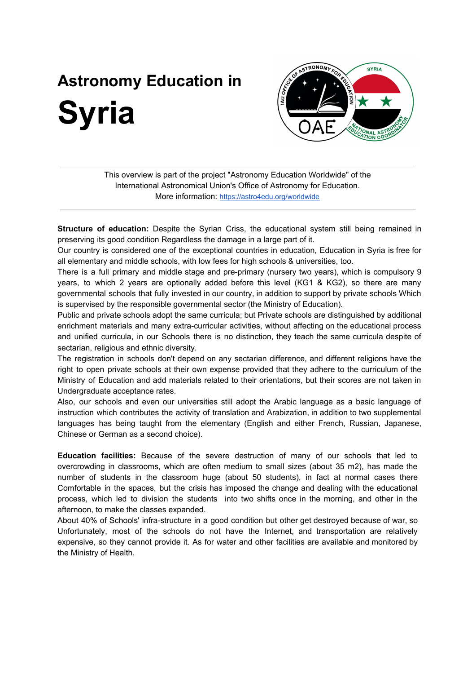## **Astronomy Education in Syria**



This overview is part of the project "Astronomy Education Worldwide" of the International Astronomical Union's Office of Astronomy for Education. More information: <https://astro4edu.org/worldwide>

**Structure of education:** Despite the Syrian Criss, the educational system still being remained in preserving its good condition Regardless the damage in a large part of it.

Our country is considered one of the exceptional countries in education, Education in Syria is free for all elementary and middle schools, with low fees for high schools & universities, too.

There is a full primary and middle stage and pre-primary (nursery two years), which is compulsory 9 years, to which 2 years are optionally added before this level (KG1 & KG2), so there are many governmental schools that fully invested in our country, in addition to support by private schools Which is supervised by the responsible governmental sector (the Ministry of Education).

Public and private schools adopt the same curricula; but Private schools are distinguished by additional enrichment materials and many extra-curricular activities, without affecting on the educational process and unified curricula, in our Schools there is no distinction, they teach the same curricula despite of sectarian, religious and ethnic diversity.

The registration in schools don't depend on any sectarian difference, and different religions have the right to open private schools at their own expense provided that they adhere to the curriculum of the Ministry of Education and add materials related to their orientations, but their scores are not taken in Undergraduate acceptance rates.

Also, our schools and even our universities still adopt the Arabic language as a basic language of instruction which contributes the activity of translation and Arabization, in addition to two supplemental languages has being taught from the elementary (English and either French, Russian, Japanese, Chinese or German as a second choice).

**Education facilities:** Because of the severe destruction of many of our schools that led to overcrowding in classrooms, which are often medium to small sizes (about 35 m2), has made the number of students in the classroom huge (about 50 students), in fact at normal cases there Comfortable in the spaces, but the crisis has imposed the change and dealing with the educational process, which led to division the students into two shifts once in the morning, and other in the afternoon, to make the classes expanded.

About 40% of Schools' infra-structure in a good condition but other get destroyed because of war, so Unfortunately, most of the schools do not have the Internet, and transportation are relatively expensive, so they cannot provide it. As for water and other facilities are available and monitored by the Ministry of Health.